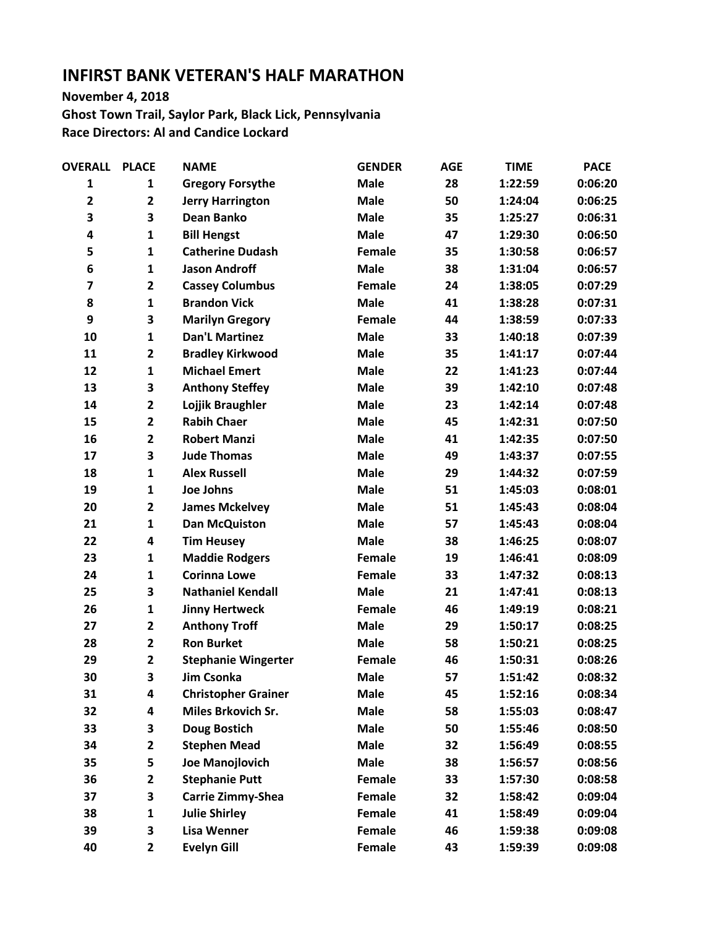## **INFIRST BANK VETERAN'S HALF MARATHON**

**November 4, 2018**

**Ghost Town Trail, Saylor Park, Black Lick, Pennsylvania Race Directors: Al and Candice Lockard**

| <b>OVERALL</b> | <b>PLACE</b>            | <b>NAME</b>                | <b>GENDER</b> | <b>AGE</b> | <b>TIME</b> | <b>PACE</b> |
|----------------|-------------------------|----------------------------|---------------|------------|-------------|-------------|
| 1              | 1                       | <b>Gregory Forsythe</b>    | <b>Male</b>   | 28         | 1:22:59     | 0:06:20     |
| $\mathbf{2}$   | $\mathbf{2}$            | <b>Jerry Harrington</b>    | <b>Male</b>   | 50         | 1:24:04     | 0:06:25     |
| 3              | 3                       | Dean Banko                 | <b>Male</b>   | 35         | 1:25:27     | 0:06:31     |
| 4              | $\mathbf{1}$            | <b>Bill Hengst</b>         | <b>Male</b>   | 47         | 1:29:30     | 0:06:50     |
| 5              | $\mathbf{1}$            | <b>Catherine Dudash</b>    | Female        | 35         | 1:30:58     | 0:06:57     |
| 6              | $\mathbf{1}$            | <b>Jason Androff</b>       | <b>Male</b>   | 38         | 1:31:04     | 0:06:57     |
| $\overline{7}$ | $\overline{\mathbf{2}}$ | <b>Cassey Columbus</b>     | <b>Female</b> | 24         | 1:38:05     | 0:07:29     |
| 8              | $\mathbf{1}$            | <b>Brandon Vick</b>        | <b>Male</b>   | 41         | 1:38:28     | 0:07:31     |
| 9              | 3                       | <b>Marilyn Gregory</b>     | Female        | 44         | 1:38:59     | 0:07:33     |
| 10             | $\mathbf{1}$            | <b>Dan'L Martinez</b>      | <b>Male</b>   | 33         | 1:40:18     | 0:07:39     |
| 11             | $\overline{\mathbf{2}}$ | <b>Bradley Kirkwood</b>    | <b>Male</b>   | 35         | 1:41:17     | 0:07:44     |
| 12             | $\mathbf{1}$            | <b>Michael Emert</b>       | <b>Male</b>   | 22         | 1:41:23     | 0:07:44     |
| 13             | 3                       | <b>Anthony Steffey</b>     | <b>Male</b>   | 39         | 1:42:10     | 0:07:48     |
| 14             | $\mathbf{2}$            | Lojjik Braughler           | <b>Male</b>   | 23         | 1:42:14     | 0:07:48     |
| 15             | $\overline{\mathbf{c}}$ | <b>Rabih Chaer</b>         | <b>Male</b>   | 45         | 1:42:31     | 0:07:50     |
| 16             | $\overline{2}$          | <b>Robert Manzi</b>        | <b>Male</b>   | 41         | 1:42:35     | 0:07:50     |
| 17             | 3                       | <b>Jude Thomas</b>         | <b>Male</b>   | 49         | 1:43:37     | 0:07:55     |
| 18             | $\mathbf{1}$            | <b>Alex Russell</b>        | <b>Male</b>   | 29         | 1:44:32     | 0:07:59     |
| 19             | $\mathbf{1}$            | <b>Joe Johns</b>           | <b>Male</b>   | 51         | 1:45:03     | 0:08:01     |
| 20             | $\overline{\mathbf{2}}$ | <b>James Mckelvey</b>      | <b>Male</b>   | 51         | 1:45:43     | 0:08:04     |
| 21             | $\mathbf{1}$            | <b>Dan McQuiston</b>       | <b>Male</b>   | 57         | 1:45:43     | 0:08:04     |
| 22             | 4                       | <b>Tim Heusey</b>          | <b>Male</b>   | 38         | 1:46:25     | 0:08:07     |
| 23             | $\mathbf{1}$            | <b>Maddie Rodgers</b>      | Female        | 19         | 1:46:41     | 0:08:09     |
| 24             | $\mathbf{1}$            | <b>Corinna Lowe</b>        | Female        | 33         | 1:47:32     | 0:08:13     |
| 25             | 3                       | <b>Nathaniel Kendall</b>   | <b>Male</b>   | 21         | 1:47:41     | 0:08:13     |
| 26             | $\mathbf{1}$            | <b>Jinny Hertweck</b>      | Female        | 46         | 1:49:19     | 0:08:21     |
| 27             | $\overline{\mathbf{c}}$ | <b>Anthony Troff</b>       | <b>Male</b>   | 29         | 1:50:17     | 0:08:25     |
| 28             | $\overline{2}$          | <b>Ron Burket</b>          | <b>Male</b>   | 58         | 1:50:21     | 0:08:25     |
| 29             | $\overline{\mathbf{2}}$ | <b>Stephanie Wingerter</b> | Female        | 46         | 1:50:31     | 0:08:26     |
| 30             | 3                       | <b>Jim Csonka</b>          | <b>Male</b>   | 57         | 1:51:42     | 0:08:32     |
| 31             | 4                       | <b>Christopher Grainer</b> | <b>Male</b>   | 45         | 1:52:16     | 0:08:34     |
| 32             | 4                       | Miles Brkovich Sr.         | <b>Male</b>   | 58         | 1:55:03     | 0:08:47     |
| 33             | 3                       | <b>Doug Bostich</b>        | <b>Male</b>   | 50         | 1:55:46     | 0:08:50     |
| 34             | $\mathbf{2}$            | <b>Stephen Mead</b>        | <b>Male</b>   | 32         | 1:56:49     | 0:08:55     |
| 35             | 5                       | Joe Manojlovich            | <b>Male</b>   | 38         | 1:56:57     | 0:08:56     |
| 36             | $\mathbf{2}$            | <b>Stephanie Putt</b>      | Female        | 33         | 1:57:30     | 0:08:58     |
| 37             | 3                       | <b>Carrie Zimmy-Shea</b>   | <b>Female</b> | 32         | 1:58:42     | 0:09:04     |
| 38             | $\mathbf{1}$            | <b>Julie Shirley</b>       | Female        | 41         | 1:58:49     | 0:09:04     |
| 39             | 3                       | <b>Lisa Wenner</b>         | Female        | 46         | 1:59:38     | 0:09:08     |
| 40             | 2                       | <b>Evelyn Gill</b>         | Female        | 43         | 1:59:39     | 0:09:08     |
|                |                         |                            |               |            |             |             |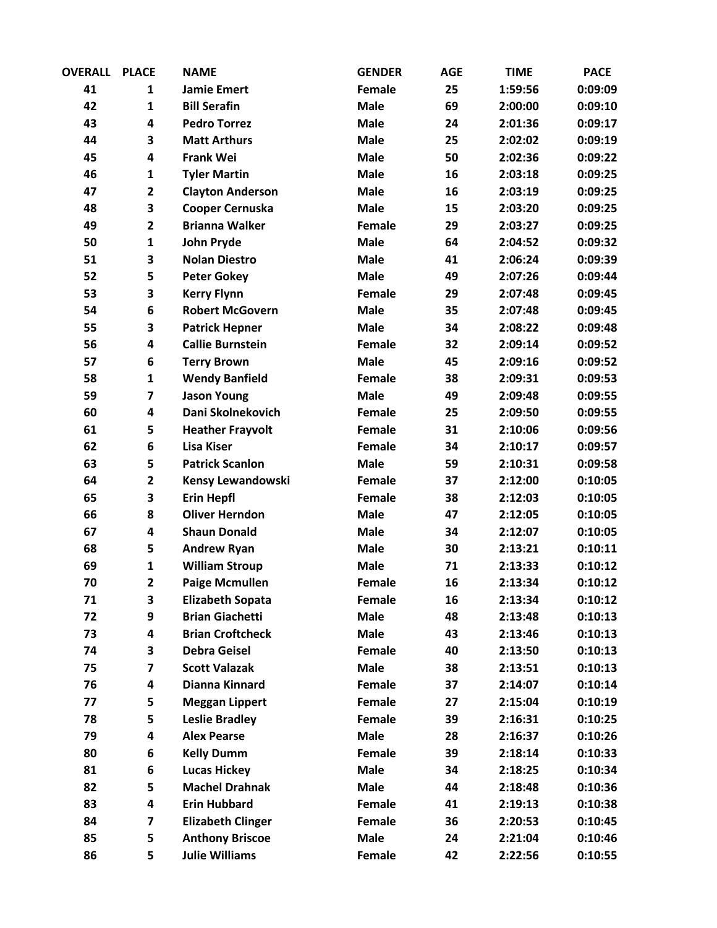| <b>OVERALL</b> | <b>PLACE</b>            | <b>NAME</b>              | <b>GENDER</b> | <b>AGE</b> | <b>TIME</b> | <b>PACE</b> |
|----------------|-------------------------|--------------------------|---------------|------------|-------------|-------------|
| 41             | $\mathbf{1}$            | <b>Jamie Emert</b>       | Female        | 25         | 1:59:56     | 0:09:09     |
| 42             | $\mathbf{1}$            | <b>Bill Serafin</b>      | <b>Male</b>   | 69         | 2:00:00     | 0:09:10     |
| 43             | 4                       | <b>Pedro Torrez</b>      | <b>Male</b>   | 24         | 2:01:36     | 0:09:17     |
| 44             | 3                       | <b>Matt Arthurs</b>      | <b>Male</b>   | 25         | 2:02:02     | 0:09:19     |
| 45             | 4                       | <b>Frank Wei</b>         | <b>Male</b>   | 50         | 2:02:36     | 0:09:22     |
| 46             | $\mathbf{1}$            | <b>Tyler Martin</b>      | <b>Male</b>   | 16         | 2:03:18     | 0:09:25     |
| 47             | $\overline{\mathbf{2}}$ | <b>Clayton Anderson</b>  | <b>Male</b>   | 16         | 2:03:19     | 0:09:25     |
| 48             | 3                       | Cooper Cernuska          | <b>Male</b>   | 15         | 2:03:20     | 0:09:25     |
| 49             | $\overline{2}$          | <b>Brianna Walker</b>    | Female        | 29         | 2:03:27     | 0:09:25     |
| 50             | $\mathbf{1}$            | <b>John Pryde</b>        | <b>Male</b>   | 64         | 2:04:52     | 0:09:32     |
| 51             | 3                       | <b>Nolan Diestro</b>     | <b>Male</b>   | 41         | 2:06:24     | 0:09:39     |
| 52             | 5                       | <b>Peter Gokey</b>       | <b>Male</b>   | 49         | 2:07:26     | 0:09:44     |
| 53             | 3                       | <b>Kerry Flynn</b>       | Female        | 29         | 2:07:48     | 0:09:45     |
| 54             | 6                       | <b>Robert McGovern</b>   | <b>Male</b>   | 35         | 2:07:48     | 0:09:45     |
| 55             | 3                       | <b>Patrick Hepner</b>    | <b>Male</b>   | 34         | 2:08:22     | 0:09:48     |
| 56             | 4                       | <b>Callie Burnstein</b>  | Female        | 32         | 2:09:14     | 0:09:52     |
| 57             | 6                       | <b>Terry Brown</b>       | <b>Male</b>   | 45         | 2:09:16     | 0:09:52     |
| 58             | $\mathbf{1}$            | <b>Wendy Banfield</b>    | Female        | 38         | 2:09:31     | 0:09:53     |
| 59             | $\overline{\mathbf{z}}$ | <b>Jason Young</b>       | <b>Male</b>   | 49         | 2:09:48     | 0:09:55     |
| 60             | 4                       | Dani Skolnekovich        | Female        | 25         | 2:09:50     | 0:09:55     |
| 61             | 5                       | <b>Heather Frayvolt</b>  | Female        | 31         | 2:10:06     | 0:09:56     |
| 62             | 6                       | <b>Lisa Kiser</b>        | Female        | 34         | 2:10:17     | 0:09:57     |
| 63             | 5                       | <b>Patrick Scanlon</b>   | <b>Male</b>   | 59         | 2:10:31     | 0:09:58     |
| 64             | $\overline{\mathbf{2}}$ | Kensy Lewandowski        | Female        | 37         | 2:12:00     | 0:10:05     |
| 65             | 3                       | <b>Erin Hepfl</b>        | Female        | 38         | 2:12:03     | 0:10:05     |
| 66             | 8                       | <b>Oliver Herndon</b>    | <b>Male</b>   | 47         | 2:12:05     | 0:10:05     |
| 67             | 4                       | <b>Shaun Donald</b>      | <b>Male</b>   | 34         | 2:12:07     | 0:10:05     |
| 68             | 5                       | <b>Andrew Ryan</b>       | <b>Male</b>   | 30         | 2:13:21     | 0:10:11     |
| 69             | $\mathbf{1}$            | <b>William Stroup</b>    | <b>Male</b>   | 71         | 2:13:33     | 0:10:12     |
| 70             | $\overline{2}$          | <b>Paige Mcmullen</b>    | Female        | 16         | 2:13:34     | 0:10:12     |
| 71             | 3                       | <b>Elizabeth Sopata</b>  | Female        | 16         | 2:13:34     | 0:10:12     |
| 72             | 9                       | <b>Brian Giachetti</b>   | <b>Male</b>   | 48         | 2:13:48     | 0:10:13     |
| 73             | 4                       | <b>Brian Croftcheck</b>  | <b>Male</b>   | 43         | 2:13:46     | 0:10:13     |
| 74             | 3                       | <b>Debra Geisel</b>      | Female        | 40         | 2:13:50     | 0:10:13     |
| 75             | $\overline{\mathbf{z}}$ | <b>Scott Valazak</b>     | <b>Male</b>   | 38         | 2:13:51     | 0:10:13     |
| 76             | 4                       | Dianna Kinnard           | Female        | 37         | 2:14:07     | 0:10:14     |
| 77             | 5                       | <b>Meggan Lippert</b>    | Female        | 27         | 2:15:04     | 0:10:19     |
| 78             | 5                       | <b>Leslie Bradley</b>    | Female        | 39         | 2:16:31     | 0:10:25     |
| 79             | 4                       | <b>Alex Pearse</b>       | <b>Male</b>   | 28         | 2:16:37     | 0:10:26     |
| 80             | 6                       | <b>Kelly Dumm</b>        | Female        | 39         | 2:18:14     | 0:10:33     |
| 81             | 6                       | <b>Lucas Hickey</b>      | <b>Male</b>   | 34         | 2:18:25     | 0:10:34     |
| 82             | 5                       | <b>Machel Drahnak</b>    | <b>Male</b>   | 44         | 2:18:48     | 0:10:36     |
| 83             | 4                       | <b>Erin Hubbard</b>      | Female        | 41         | 2:19:13     | 0:10:38     |
| 84             | $\overline{\mathbf{z}}$ | <b>Elizabeth Clinger</b> | Female        | 36         | 2:20:53     | 0:10:45     |
| 85             | 5                       | <b>Anthony Briscoe</b>   | <b>Male</b>   | 24         | 2:21:04     | 0:10:46     |
| 86             | 5                       | <b>Julie Williams</b>    | Female        | 42         | 2:22:56     | 0:10:55     |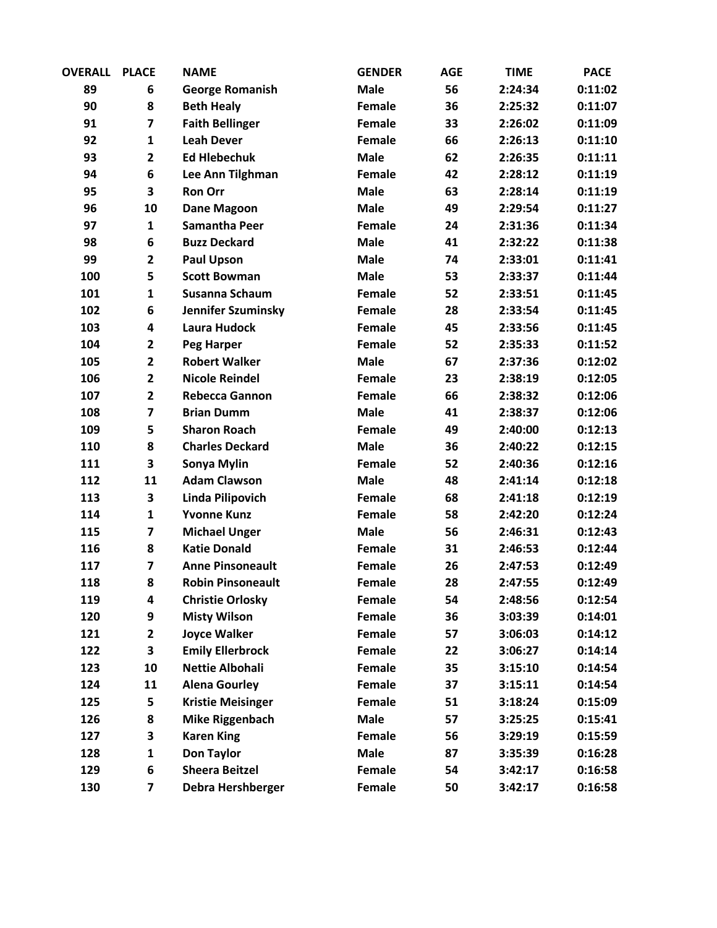| <b>OVERALL</b> | <b>PLACE</b>            | <b>NAME</b>               | <b>GENDER</b> | <b>AGE</b> | <b>TIME</b> | <b>PACE</b> |
|----------------|-------------------------|---------------------------|---------------|------------|-------------|-------------|
| 89             | 6                       | <b>George Romanish</b>    | <b>Male</b>   | 56         | 2:24:34     | 0:11:02     |
| 90             | 8                       | <b>Beth Healy</b>         | Female        | 36         | 2:25:32     | 0:11:07     |
| 91             | $\overline{\mathbf{z}}$ | <b>Faith Bellinger</b>    | Female        | 33         | 2:26:02     | 0:11:09     |
| 92             | $\mathbf{1}$            | <b>Leah Dever</b>         | <b>Female</b> | 66         | 2:26:13     | 0:11:10     |
| 93             | $\overline{2}$          | <b>Ed Hlebechuk</b>       | <b>Male</b>   | 62         | 2:26:35     | 0:11:11     |
| 94             | 6                       | Lee Ann Tilghman          | Female        | 42         | 2:28:12     | 0:11:19     |
| 95             | 3                       | <b>Ron Orr</b>            | <b>Male</b>   | 63         | 2:28:14     | 0:11:19     |
| 96             | 10                      | <b>Dane Magoon</b>        | <b>Male</b>   | 49         | 2:29:54     | 0:11:27     |
| 97             | $\mathbf{1}$            | <b>Samantha Peer</b>      | Female        | 24         | 2:31:36     | 0:11:34     |
| 98             | 6                       | <b>Buzz Deckard</b>       | <b>Male</b>   | 41         | 2:32:22     | 0:11:38     |
| 99             | $\overline{2}$          | <b>Paul Upson</b>         | <b>Male</b>   | 74         | 2:33:01     | 0:11:41     |
| 100            | 5                       | <b>Scott Bowman</b>       | <b>Male</b>   | 53         | 2:33:37     | 0:11:44     |
| 101            | $\mathbf{1}$            | <b>Susanna Schaum</b>     | Female        | 52         | 2:33:51     | 0:11:45     |
| 102            | 6                       | <b>Jennifer Szuminsky</b> | Female        | 28         | 2:33:54     | 0:11:45     |
| 103            | 4                       | Laura Hudock              | Female        | 45         | 2:33:56     | 0:11:45     |
| 104            | $\overline{\mathbf{c}}$ | <b>Peg Harper</b>         | Female        | 52         | 2:35:33     | 0:11:52     |
| 105            | $\overline{\mathbf{c}}$ | <b>Robert Walker</b>      | <b>Male</b>   | 67         | 2:37:36     | 0:12:02     |
| 106            | $\overline{\mathbf{2}}$ | <b>Nicole Reindel</b>     | Female        | 23         | 2:38:19     | 0:12:05     |
| 107            | $\overline{2}$          | <b>Rebecca Gannon</b>     | Female        | 66         | 2:38:32     | 0:12:06     |
| 108            | $\overline{\mathbf{z}}$ | <b>Brian Dumm</b>         | <b>Male</b>   | 41         | 2:38:37     | 0:12:06     |
| 109            | 5                       | <b>Sharon Roach</b>       | Female        | 49         | 2:40:00     | 0:12:13     |
| 110            | 8                       | <b>Charles Deckard</b>    | <b>Male</b>   | 36         | 2:40:22     | 0:12:15     |
| 111            | 3                       | Sonya Mylin               | Female        | 52         | 2:40:36     | 0:12:16     |
| 112            | 11                      | <b>Adam Clawson</b>       | <b>Male</b>   | 48         | 2:41:14     | 0:12:18     |
| 113            | 3                       | <b>Linda Pilipovich</b>   | Female        | 68         | 2:41:18     | 0:12:19     |
| 114            | $\mathbf{1}$            | <b>Yvonne Kunz</b>        | Female        | 58         | 2:42:20     | 0:12:24     |
| 115            | $\overline{\mathbf{z}}$ | <b>Michael Unger</b>      | <b>Male</b>   | 56         | 2:46:31     | 0:12:43     |
| 116            | 8                       | <b>Katie Donald</b>       | Female        | 31         | 2:46:53     | 0:12:44     |
| 117            | $\overline{\mathbf{z}}$ | <b>Anne Pinsoneault</b>   | Female        | 26         | 2:47:53     | 0:12:49     |
| 118            | 8                       | <b>Robin Pinsoneault</b>  | Female        | 28         | 2:47:55     | 0:12:49     |
| 119            | 4                       | <b>Christie Orlosky</b>   | Female        | 54         | 2:48:56     | 0:12:54     |
| 120            | 9                       | <b>Misty Wilson</b>       | Female        | 36         | 3:03:39     | 0:14:01     |
| 121            | $\overline{\mathbf{c}}$ | <b>Joyce Walker</b>       | Female        | 57         | 3:06:03     | 0:14:12     |
| 122            | 3                       | <b>Emily Ellerbrock</b>   | Female        | 22         | 3:06:27     | 0:14:14     |
| 123            | 10                      | <b>Nettie Albohali</b>    | Female        | 35         | 3:15:10     | 0:14:54     |
| 124            | 11                      | <b>Alena Gourley</b>      | Female        | 37         | 3:15:11     | 0:14:54     |
| 125            | 5                       | <b>Kristie Meisinger</b>  | Female        | 51         | 3:18:24     | 0:15:09     |
| 126            | 8                       | <b>Mike Riggenbach</b>    | <b>Male</b>   | 57         | 3:25:25     | 0:15:41     |
| 127            | 3                       | <b>Karen King</b>         | Female        | 56         | 3:29:19     | 0:15:59     |
| 128            | $\mathbf{1}$            | <b>Don Taylor</b>         | <b>Male</b>   | 87         | 3:35:39     | 0:16:28     |
| 129            | 6                       | <b>Sheera Beitzel</b>     | Female        | 54         | 3:42:17     | 0:16:58     |
| 130            | 7                       | Debra Hershberger         | Female        | 50         | 3:42:17     | 0:16:58     |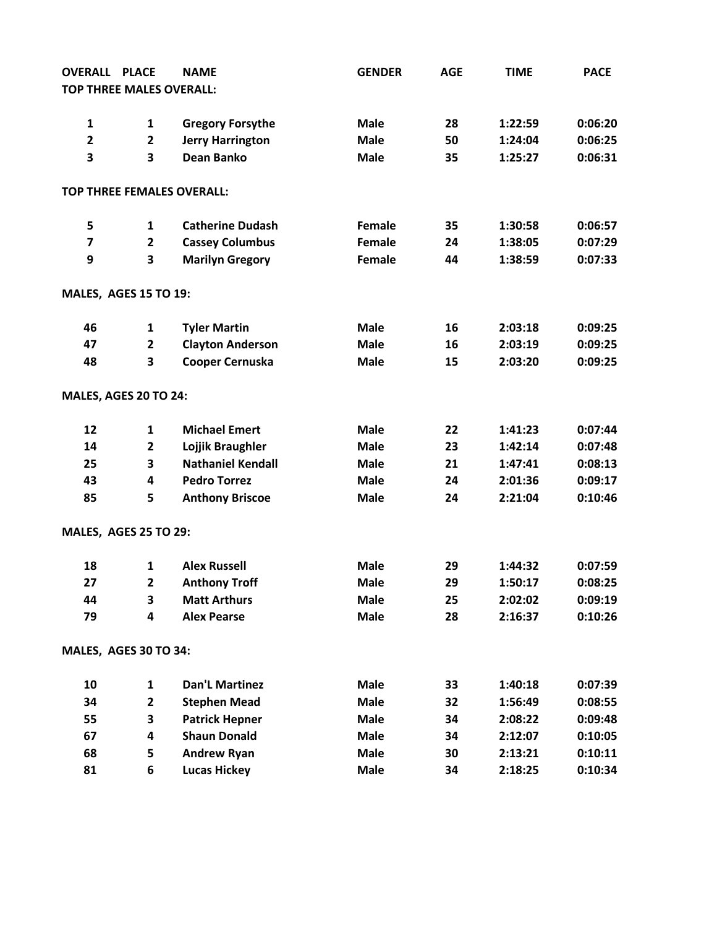| <b>OVERALL</b>                  | <b>PLACE</b>            | <b>NAME</b>                       | <b>GENDER</b> | <b>AGE</b> | <b>TIME</b> | <b>PACE</b> |
|---------------------------------|-------------------------|-----------------------------------|---------------|------------|-------------|-------------|
| <b>TOP THREE MALES OVERALL:</b> |                         |                                   |               |            |             |             |
|                                 |                         |                                   |               |            |             |             |
| $\mathbf{1}$                    | $\mathbf{1}$            | <b>Gregory Forsythe</b>           | <b>Male</b>   | 28         | 1:22:59     | 0:06:20     |
| $\overline{2}$                  | $\mathbf{2}$            | <b>Jerry Harrington</b>           | <b>Male</b>   | 50         | 1:24:04     | 0:06:25     |
| 3                               | 3                       | <b>Dean Banko</b>                 | <b>Male</b>   | 35         | 1:25:27     | 0:06:31     |
|                                 |                         | <b>TOP THREE FEMALES OVERALL:</b> |               |            |             |             |
| 5                               | 1                       | <b>Catherine Dudash</b>           | Female        | 35         | 1:30:58     | 0:06:57     |
| $\overline{\mathbf{z}}$         | $\mathbf{2}$            | <b>Cassey Columbus</b>            | Female        | 24         | 1:38:05     | 0:07:29     |
| 9                               | 3                       | <b>Marilyn Gregory</b>            | Female        | 44         | 1:38:59     | 0:07:33     |
| <b>MALES, AGES 15 TO 19:</b>    |                         |                                   |               |            |             |             |
| 46                              | 1                       | <b>Tyler Martin</b>               | <b>Male</b>   | 16         | 2:03:18     | 0:09:25     |
| 47                              | $\overline{2}$          | <b>Clayton Anderson</b>           | <b>Male</b>   | 16         | 2:03:19     | 0:09:25     |
| 48                              | 3                       | Cooper Cernuska                   | <b>Male</b>   | 15         | 2:03:20     | 0:09:25     |
| MALES, AGES 20 TO 24:           |                         |                                   |               |            |             |             |
| 12                              | 1                       | <b>Michael Emert</b>              | <b>Male</b>   | 22         | 1:41:23     | 0:07:44     |
| 14                              | $\overline{\mathbf{2}}$ | Lojjik Braughler                  | <b>Male</b>   | 23         | 1:42:14     | 0:07:48     |
| 25                              | 3                       | <b>Nathaniel Kendall</b>          | <b>Male</b>   | 21         | 1:47:41     | 0:08:13     |
| 43                              | 4                       | <b>Pedro Torrez</b>               | <b>Male</b>   | 24         | 2:01:36     | 0:09:17     |
| 85                              | 5                       | <b>Anthony Briscoe</b>            | <b>Male</b>   | 24         | 2:21:04     | 0:10:46     |
| <b>MALES, AGES 25 TO 29:</b>    |                         |                                   |               |            |             |             |
| 18                              | 1                       | <b>Alex Russell</b>               | <b>Male</b>   | 29         | 1:44:32     | 0:07:59     |
| 27                              | $\overline{2}$          | <b>Anthony Troff</b>              | <b>Male</b>   | 29         | 1:50:17     | 0:08:25     |
| 44                              | 3                       | <b>Matt Arthurs</b>               | <b>Male</b>   | 25         | 2:02:02     | 0:09:19     |
| 79                              | 4                       | <b>Alex Pearse</b>                | <b>Male</b>   | 28         | 2:16:37     | 0:10:26     |
| MALES, AGES 30 TO 34:           |                         |                                   |               |            |             |             |
| 10                              | 1                       | <b>Dan'L Martinez</b>             | <b>Male</b>   | 33         | 1:40:18     | 0:07:39     |
| 34                              | $\overline{\mathbf{2}}$ | <b>Stephen Mead</b>               | <b>Male</b>   | 32         | 1:56:49     | 0:08:55     |
| 55                              | 3                       | <b>Patrick Hepner</b>             | <b>Male</b>   | 34         | 2:08:22     | 0:09:48     |
| 67                              | 4                       | <b>Shaun Donald</b>               | <b>Male</b>   | 34         | 2:12:07     | 0:10:05     |
| 68                              | 5                       | <b>Andrew Ryan</b>                | <b>Male</b>   | 30         | 2:13:21     | 0:10:11     |
| 81                              | 6                       | <b>Lucas Hickey</b>               | <b>Male</b>   | 34         | 2:18:25     | 0:10:34     |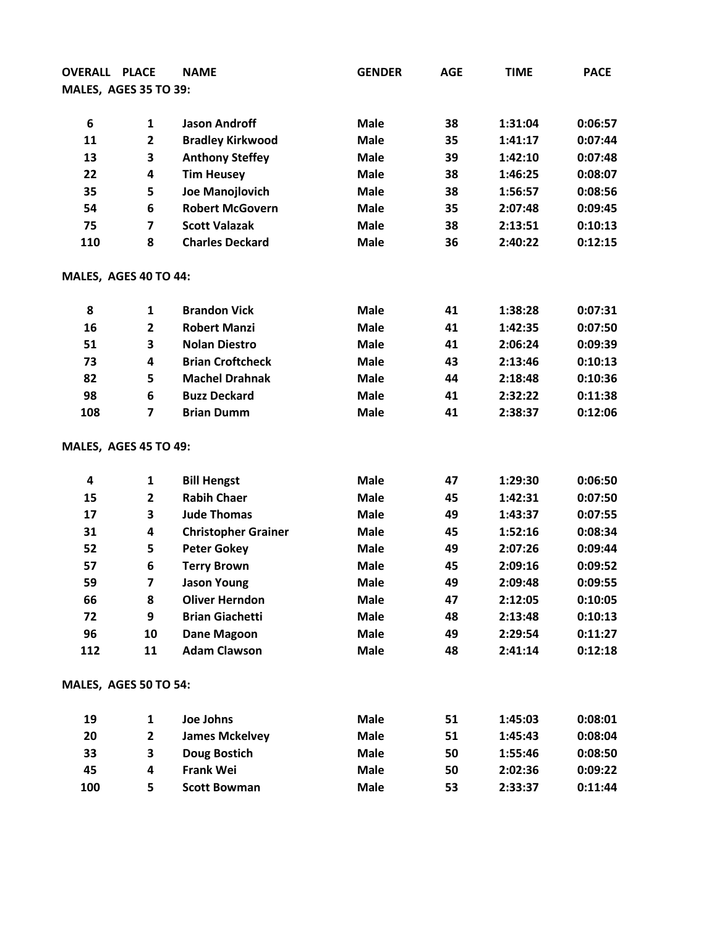| <b>OVERALL PLACE</b>  |                              | <b>NAME</b>                | <b>GENDER</b> | <b>AGE</b> | <b>TIME</b> | <b>PACE</b> |
|-----------------------|------------------------------|----------------------------|---------------|------------|-------------|-------------|
|                       | <b>MALES, AGES 35 TO 39:</b> |                            |               |            |             |             |
|                       |                              |                            |               |            |             |             |
| 6                     | $\mathbf{1}$                 | <b>Jason Androff</b>       | <b>Male</b>   | 38         | 1:31:04     | 0:06:57     |
| 11                    | $\mathbf{2}$                 | <b>Bradley Kirkwood</b>    | <b>Male</b>   | 35         | 1:41:17     | 0:07:44     |
| 13                    | 3                            | <b>Anthony Steffey</b>     | <b>Male</b>   | 39         | 1:42:10     | 0:07:48     |
| 22                    | 4                            | <b>Tim Heusey</b>          | <b>Male</b>   | 38         | 1:46:25     | 0:08:07     |
| 35                    | 5                            | Joe Manojlovich            | <b>Male</b>   | 38         | 1:56:57     | 0:08:56     |
| 54                    | 6                            | <b>Robert McGovern</b>     | <b>Male</b>   | 35         | 2:07:48     | 0:09:45     |
| 75                    | $\overline{\mathbf{z}}$      | <b>Scott Valazak</b>       | <b>Male</b>   | 38         | 2:13:51     | 0:10:13     |
| 110                   | 8                            | <b>Charles Deckard</b>     | <b>Male</b>   | 36         | 2:40:22     | 0:12:15     |
| MALES, AGES 40 TO 44: |                              |                            |               |            |             |             |
| 8                     | 1                            | <b>Brandon Vick</b>        | <b>Male</b>   | 41         | 1:38:28     | 0:07:31     |
| 16                    | $\mathbf{2}$                 | <b>Robert Manzi</b>        | <b>Male</b>   | 41         | 1:42:35     | 0:07:50     |
| 51                    | 3                            | <b>Nolan Diestro</b>       | <b>Male</b>   | 41         | 2:06:24     | 0:09:39     |
| 73                    | 4                            | <b>Brian Croftcheck</b>    | <b>Male</b>   | 43         | 2:13:46     | 0:10:13     |
| 82                    | 5                            | <b>Machel Drahnak</b>      | <b>Male</b>   | 44         | 2:18:48     | 0:10:36     |
| 98                    | 6                            | <b>Buzz Deckard</b>        | <b>Male</b>   | 41         | 2:32:22     | 0:11:38     |
| 108                   | $\overline{\mathbf{z}}$      | <b>Brian Dumm</b>          | <b>Male</b>   | 41         | 2:38:37     | 0:12:06     |
|                       | <b>MALES, AGES 45 TO 49:</b> |                            |               |            |             |             |
| 4                     | 1                            | <b>Bill Hengst</b>         | <b>Male</b>   | 47         | 1:29:30     | 0:06:50     |
| 15                    | $\overline{\mathbf{c}}$      | <b>Rabih Chaer</b>         | <b>Male</b>   | 45         | 1:42:31     | 0:07:50     |
| 17                    | 3                            | <b>Jude Thomas</b>         | <b>Male</b>   | 49         | 1:43:37     | 0:07:55     |
| 31                    | 4                            | <b>Christopher Grainer</b> | <b>Male</b>   | 45         | 1:52:16     | 0:08:34     |
| 52                    | 5                            | <b>Peter Gokey</b>         | <b>Male</b>   | 49         | 2:07:26     | 0:09:44     |
| 57                    | 6                            | <b>Terry Brown</b>         | <b>Male</b>   | 45         | 2:09:16     | 0:09:52     |
| 59                    | 7                            | <b>Jason Young</b>         | <b>Male</b>   | 49         | 2:09:48     | 0:09:55     |
| 66                    | 8                            | <b>Oliver Herndon</b>      | <b>Male</b>   | 47         | 2:12:05     | 0:10:05     |
| 72                    | 9                            | <b>Brian Giachetti</b>     | <b>Male</b>   | 48         | 2:13:48     | 0:10:13     |
| 96                    | 10                           | <b>Dane Magoon</b>         | <b>Male</b>   | 49         | 2:29:54     | 0:11:27     |
| 112                   | 11                           | <b>Adam Clawson</b>        | <b>Male</b>   | 48         | 2:41:14     | 0:12:18     |
|                       | <b>MALES, AGES 50 TO 54:</b> |                            |               |            |             |             |
| 19                    | 1                            | Joe Johns                  | <b>Male</b>   | 51         | 1:45:03     | 0:08:01     |
| 20                    | $\overline{\mathbf{2}}$      | <b>James Mckelvey</b>      | <b>Male</b>   | 51         | 1:45:43     | 0:08:04     |
| 33                    | 3                            | <b>Doug Bostich</b>        | <b>Male</b>   | 50         | 1:55:46     | 0:08:50     |
| 45                    | 4                            | <b>Frank Wei</b>           | <b>Male</b>   | 50         | 2:02:36     | 0:09:22     |
| 100                   | 5                            | <b>Scott Bowman</b>        | <b>Male</b>   | 53         | 2:33:37     | 0:11:44     |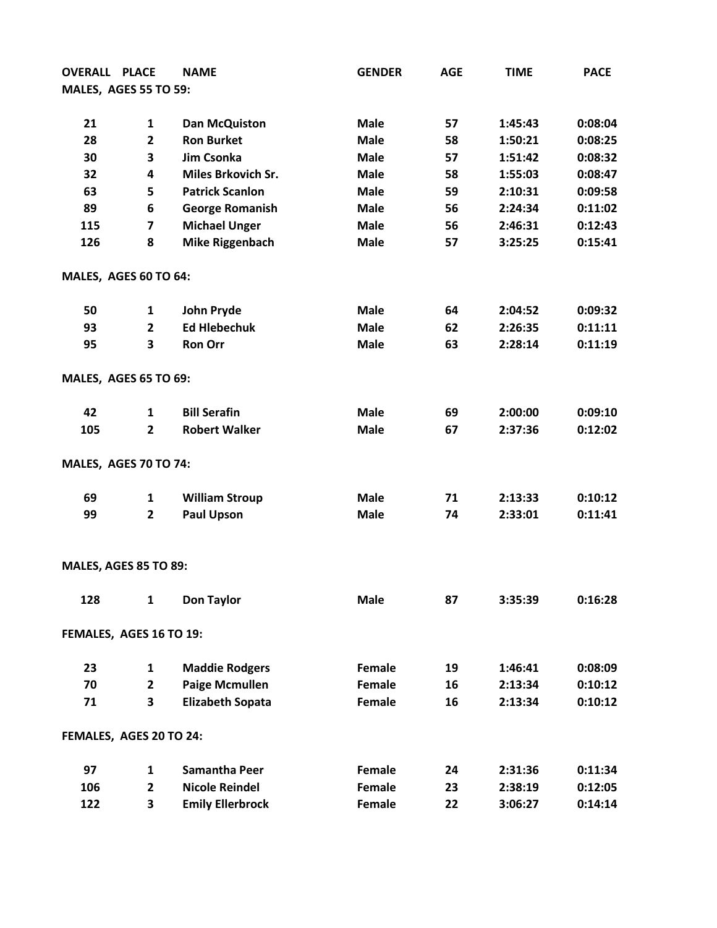| <b>OVERALL PLACE</b>         |                         | <b>NAME</b>               | <b>GENDER</b> | <b>AGE</b> | <b>TIME</b> | <b>PACE</b> |
|------------------------------|-------------------------|---------------------------|---------------|------------|-------------|-------------|
| <b>MALES, AGES 55 TO 59:</b> |                         |                           |               |            |             |             |
|                              |                         |                           |               |            |             |             |
| 21                           | $\mathbf{1}$            | <b>Dan McQuiston</b>      | <b>Male</b>   | 57         | 1:45:43     | 0:08:04     |
| 28                           | $\mathbf{2}$            | <b>Ron Burket</b>         | <b>Male</b>   | 58         | 1:50:21     | 0:08:25     |
| 30                           | 3                       | Jim Csonka                | <b>Male</b>   | 57         | 1:51:42     | 0:08:32     |
| 32                           | 4                       | <b>Miles Brkovich Sr.</b> | <b>Male</b>   | 58         | 1:55:03     | 0:08:47     |
| 63                           | 5                       | <b>Patrick Scanlon</b>    | <b>Male</b>   | 59         | 2:10:31     | 0:09:58     |
| 89                           | 6                       | <b>George Romanish</b>    | <b>Male</b>   | 56         | 2:24:34     | 0:11:02     |
| 115                          | $\overline{\mathbf{z}}$ | <b>Michael Unger</b>      | <b>Male</b>   | 56         | 2:46:31     | 0:12:43     |
| 126                          | 8                       | <b>Mike Riggenbach</b>    | <b>Male</b>   | 57         | 3:25:25     | 0:15:41     |
| MALES, AGES 60 TO 64:        |                         |                           |               |            |             |             |
| 50                           | 1                       | John Pryde                | <b>Male</b>   | 64         | 2:04:52     | 0:09:32     |
| 93                           | $\overline{2}$          | <b>Ed Hlebechuk</b>       | <b>Male</b>   | 62         | 2:26:35     | 0:11:11     |
| 95                           | 3                       | <b>Ron Orr</b>            | <b>Male</b>   | 63         | 2:28:14     | 0:11:19     |
| <b>MALES, AGES 65 TO 69:</b> |                         |                           |               |            |             |             |
| 42                           | $\mathbf{1}$            | <b>Bill Serafin</b>       | <b>Male</b>   | 69         | 2:00:00     | 0:09:10     |
| 105                          | $\mathbf{2}$            | <b>Robert Walker</b>      | <b>Male</b>   | 67         | 2:37:36     | 0:12:02     |
| <b>MALES, AGES 70 TO 74:</b> |                         |                           |               |            |             |             |
| 69                           | 1                       | <b>William Stroup</b>     | <b>Male</b>   | 71         | 2:13:33     | 0:10:12     |
| 99                           | $\mathbf{2}$            | <b>Paul Upson</b>         | <b>Male</b>   | 74         | 2:33:01     | 0:11:41     |
| <b>MALES, AGES 85 TO 89:</b> |                         |                           |               |            |             |             |
|                              |                         |                           |               |            |             |             |
| 128                          | $\mathbf{1}$            | <b>Don Taylor</b>         | <b>Male</b>   | 87         | 3:35:39     | 0:16:28     |
| FEMALES, AGES 16 TO 19:      |                         |                           |               |            |             |             |
| 23                           | 1                       | <b>Maddie Rodgers</b>     | Female        | 19         | 1:46:41     | 0:08:09     |
| 70                           | $\mathbf{2}$            | <b>Paige Mcmullen</b>     | Female        | 16         | 2:13:34     | 0:10:12     |
| 71                           | 3                       | <b>Elizabeth Sopata</b>   | Female        | 16         | 2:13:34     | 0:10:12     |
| FEMALES, AGES 20 TO 24:      |                         |                           |               |            |             |             |
| 97                           | $\mathbf{1}$            | <b>Samantha Peer</b>      | Female        | 24         | 2:31:36     | 0:11:34     |
| 106                          | $\mathbf{2}$            | <b>Nicole Reindel</b>     | Female        | 23         | 2:38:19     | 0:12:05     |
| 122                          | 3                       | <b>Emily Ellerbrock</b>   | Female        | 22         | 3:06:27     | 0:14:14     |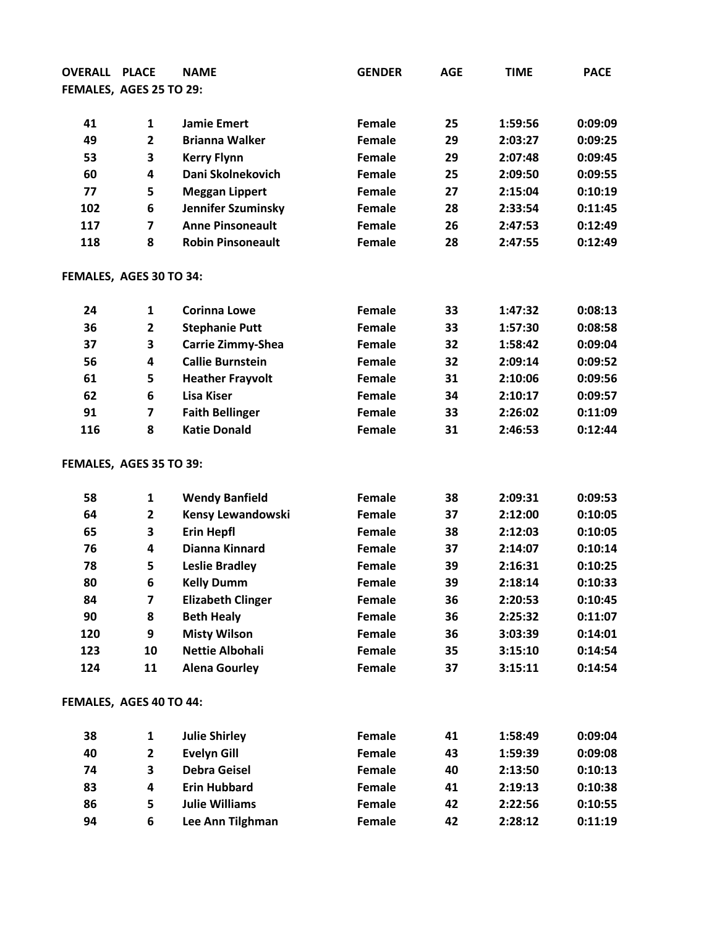| <b>OVERALL</b>          | <b>PLACE</b>            | <b>NAME</b>              | <b>GENDER</b> | <b>AGE</b> | <b>TIME</b> | <b>PACE</b> |
|-------------------------|-------------------------|--------------------------|---------------|------------|-------------|-------------|
| FEMALES, AGES 25 TO 29: |                         |                          |               |            |             |             |
|                         |                         |                          |               |            |             |             |
| 41                      | $\mathbf{1}$            | <b>Jamie Emert</b>       | Female        | 25         | 1:59:56     | 0:09:09     |
| 49                      | $\overline{\mathbf{2}}$ | <b>Brianna Walker</b>    | Female        | 29         | 2:03:27     | 0:09:25     |
| 53                      | 3                       | <b>Kerry Flynn</b>       | Female        | 29         | 2:07:48     | 0:09:45     |
| 60                      | 4                       | Dani Skolnekovich        | Female        | 25         | 2:09:50     | 0:09:55     |
| 77                      | 5                       | <b>Meggan Lippert</b>    | <b>Female</b> | 27         | 2:15:04     | 0:10:19     |
| 102                     | 6                       | Jennifer Szuminsky       | Female        | 28         | 2:33:54     | 0:11:45     |
| 117                     | $\overline{\mathbf{z}}$ | <b>Anne Pinsoneault</b>  | Female        | 26         | 2:47:53     | 0:12:49     |
| 118                     | 8                       | <b>Robin Pinsoneault</b> | Female        | 28         | 2:47:55     | 0:12:49     |
| FEMALES, AGES 30 TO 34: |                         |                          |               |            |             |             |
| 24                      | 1                       | <b>Corinna Lowe</b>      | Female        | 33         | 1:47:32     | 0:08:13     |
| 36                      | $\overline{2}$          | <b>Stephanie Putt</b>    | Female        | 33         | 1:57:30     | 0:08:58     |
| 37                      | 3                       | <b>Carrie Zimmy-Shea</b> | Female        | 32         | 1:58:42     | 0:09:04     |
| 56                      | 4                       | <b>Callie Burnstein</b>  | <b>Female</b> | 32         | 2:09:14     | 0:09:52     |
| 61                      | 5                       | <b>Heather Frayvolt</b>  | Female        | 31         | 2:10:06     | 0:09:56     |
| 62                      | 6                       | <b>Lisa Kiser</b>        | Female        | 34         | 2:10:17     | 0:09:57     |
| 91                      | $\overline{\mathbf{z}}$ | <b>Faith Bellinger</b>   | Female        | 33         | 2:26:02     | 0:11:09     |
| 116                     | 8                       | <b>Katie Donald</b>      | Female        | 31         | 2:46:53     | 0:12:44     |
| FEMALES, AGES 35 TO 39: |                         |                          |               |            |             |             |
| 58                      | $\mathbf{1}$            | <b>Wendy Banfield</b>    | Female        | 38         | 2:09:31     | 0:09:53     |
| 64                      | $\overline{\mathbf{2}}$ | Kensy Lewandowski        | Female        | 37         | 2:12:00     | 0:10:05     |
| 65                      | 3                       | <b>Erin Hepfl</b>        | Female        | 38         | 2:12:03     | 0:10:05     |
| 76                      | 4                       | Dianna Kinnard           | Female        | 37         | 2:14:07     | 0:10:14     |
| 78                      | 5                       | <b>Leslie Bradley</b>    | Female        | 39         | 2:16:31     | 0:10:25     |
| 80                      | 6                       | <b>Kelly Dumm</b>        | Female        | 39         | 2:18:14     | 0:10:33     |
| 84                      | 7                       | <b>Elizabeth Clinger</b> | Female        | 36         | 2:20:53     | 0:10:45     |
| 90                      | 8                       | <b>Beth Healy</b>        | Female        | 36         | 2:25:32     | 0:11:07     |
| 120                     | 9                       | <b>Misty Wilson</b>      | Female        | 36         | 3:03:39     | 0:14:01     |
| 123                     | 10                      | <b>Nettie Albohali</b>   | Female        | 35         | 3:15:10     | 0:14:54     |
| 124                     | 11                      | <b>Alena Gourley</b>     | Female        | 37         | 3:15:11     | 0:14:54     |
| FEMALES, AGES 40 TO 44: |                         |                          |               |            |             |             |
| 38                      | $\mathbf{1}$            | <b>Julie Shirley</b>     | Female        | 41         | 1:58:49     | 0:09:04     |
| 40                      | $\mathbf 2$             | <b>Evelyn Gill</b>       | Female        | 43         | 1:59:39     | 0:09:08     |
| 74                      | 3                       | <b>Debra Geisel</b>      | Female        | 40         | 2:13:50     | 0:10:13     |
| 83                      | 4                       | <b>Erin Hubbard</b>      | Female        | 41         | 2:19:13     | 0:10:38     |
| 86                      | 5                       | <b>Julie Williams</b>    | Female        | 42         | 2:22:56     | 0:10:55     |
| 94                      | 6                       | Lee Ann Tilghman         | Female        | 42         | 2:28:12     | 0:11:19     |